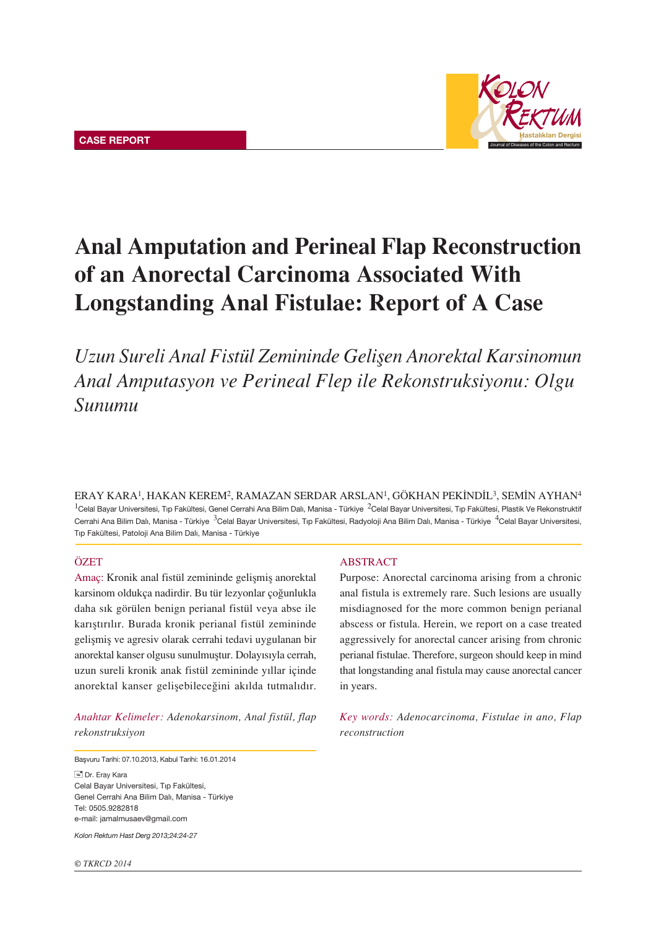

# Anal Amputation and Perineal Flap Reconstruction of an Anorectal Carcinoma Associated With Longstanding Anal Fistulae: Report of A Case

Uzun Sureli Anal Fistül Zemininde Gelişen Anorektal Karsinomun *Anal Amputasyon ve Perineal Flep ile Rekonstruksiyonu: Olgu Sunumu*

ERAY KARA<sup>1</sup>, HAKAN KEREM<sup>2</sup>, RAMAZAN SERDAR ARSLAN<sup>1</sup>, GÖKHAN PEKİNDİL<sup>3</sup>, SEMİN AYHAN<sup>4</sup>  $1$ Celal Bayar Universitesi, Tıp Fakültesi, Genel Cerrahi Ana Bilim Dalı, Manisa - Türkiye  $2$ Celal Bayar Universitesi, Tıp Fakültesi, Plastik Ve Rekonstruktif Cerrahi Ana Bilim Dalı, Manisa - Türkiye <sup>3</sup>Celal Bayar Universitesi, Tıp Fakültesi, Radyoloji Ana Bilim Dalı, Manisa - Türkiye <sup>4</sup>Celal Bayar Universitesi, Tıp Fakültesi, Patoloji Ana Bilim Dalı, Manisa - Türkiye

## ÖZET

Amaç: Kronik anal fistül zemininde gelişmiş anorektal karsinom oldukça nadirdir. Bu tür lezyonlar çoğunlukla daha sık görülen benign perianal fistül veya abse ile karıştırılır. Burada kronik perianal fistül zemininde gelişmiş ve agresiv olarak cerrahi tedavi uygulanan bir anorektal kanser olgusu sunulmuştur. Dolayısıyla cerrah, uzun sureli kronik anak fistül zemininde yıllar içinde anorektal kanser gelişebileceğini akılda tutmalıdır.

*Anahtar Kelimeler: Adenokarsinom, Anal fistül, flap rekonstruksiyon*

Basvuru Tarihi: 07.10.2013, Kabul Tarihi: 16.01.2014 Dr. Eray Kara Celal Bayar Universitesi, Tıp Fakültesi, Genel Cerrahi Ana Bilim Dalı, Manisa - Türkiye Tel: 0505.9282818

e-mail: jamalmusaev@gmail.com

*Kolon Rektum Hast Derg 2013;24:24-27*

#### ABSTRACT

Purpose: Anorectal carcinoma arising from a chronic anal fistula is extremely rare. Such lesions are usually misdiagnosed for the more common benign perianal abscess or fistula. Herein, we report on a case treated aggressively for anorectal cancer arising from chronic perianal fistulae. Therefore, surgeon should keep in mind that longstanding anal fistula may cause anorectal cancer in years.

*Key words: Adenocarcinoma, Fistulae in ano, Flap reconstruction*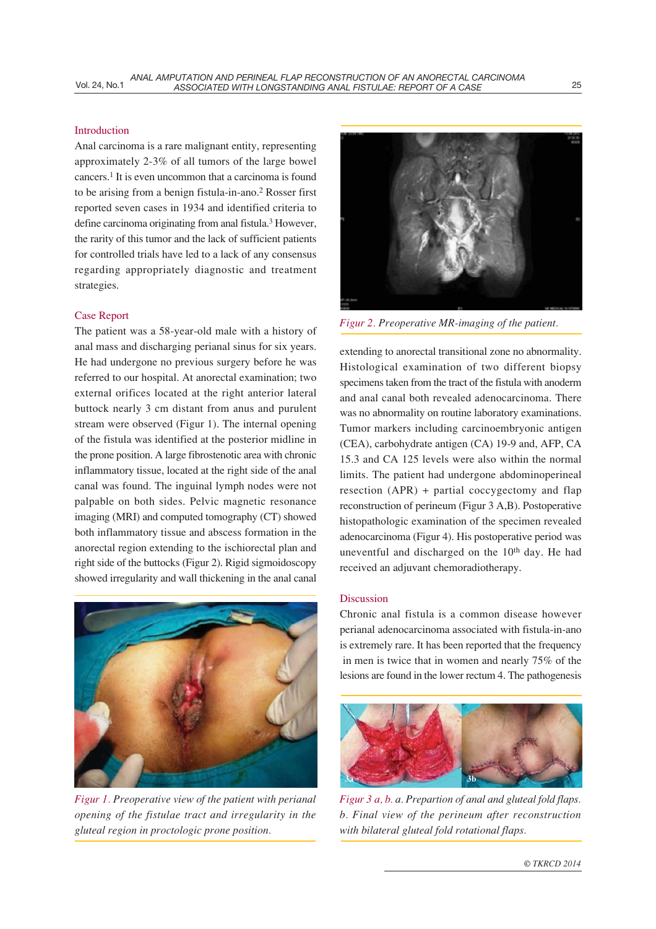## Introduction

Anal carcinoma is a rare malignant entity, representing approximately 2-3% of all tumors of the large bowel cancers.1 It is even uncommon that a carcinoma is found to be arising from a benign fistula-in-ano.2 Rosser first reported seven cases in 1934 and identified criteria to define carcinoma originating from anal fistula.<sup>3</sup> However, the rarity of this tumor and the lack of sufficient patients for controlled trials have led to a lack of any consensus regarding appropriately diagnostic and treatment strategies.

#### Case Report

The patient was a 58-year-old male with a history of anal mass and discharging perianal sinus for six years. He had undergone no previous surgery before he was referred to our hospital. At anorectal examination; two external orifices located at the right anterior lateral buttock nearly 3 cm distant from anus and purulent stream were observed (Figur 1). The internal opening of the fistula was identified at the posterior midline in the prone position. A large fibrostenotic area with chronic inflammatory tissue, located at the right side of the anal canal was found. The inguinal lymph nodes were not palpable on both sides. Pelvic magnetic resonance imaging (MRI) and computed tomography (CT) showed both inflammatory tissue and abscess formation in the anorectal region extending to the ischiorectal plan and right side of the buttocks (Figur 2). Rigid sigmoidoscopy showed irregularity and wall thickening in the anal canal



Figur 1. Preoperative view of the patient with perianal opening of the fistulae tract and irregularity in the gluteal region in proctologic prone position.



Figur 2. Preoperative MR-imaging of the patient.

extending to anorectal transitional zone no abnormality. Histological examination of two different biopsy specimens taken from the tract of the fistula with anoderm and anal canal both revealed adenocarcinoma. There was no abnormality on routine laboratory examinations. Tumor markers including carcinoembryonic antigen (CEA), carbohydrate antigen (CA) 19-9 and, AFP, CA 15.3 and CA 125 levels were also within the normal limits. The patient had undergone abdominoperineal resection (APR) + partial coccygectomy and flap reconstruction of perineum (Figur 3 A,B). Postoperative histopathologic examination of the specimen revealed adenocarcinoma (Figur 4). His postoperative period was uneventful and discharged on the  $10<sup>th</sup>$  day. He had received an adjuvant chemoradiotherapy.

### Discussion

Chronic anal fistula is a common disease however perianal adenocarcinoma associated with fistula-in-ano is extremely rare. It has been reported that the frequency in men is twice that in women and nearly 75% of the lesions are found in the lower rectum 4. The pathogenesis



Figur 3 a, b. a. Prepartion of anal and gluteal fold flaps. b. Final view of the perineum after reconstruction with bilateral gluteal fold rotational flaps.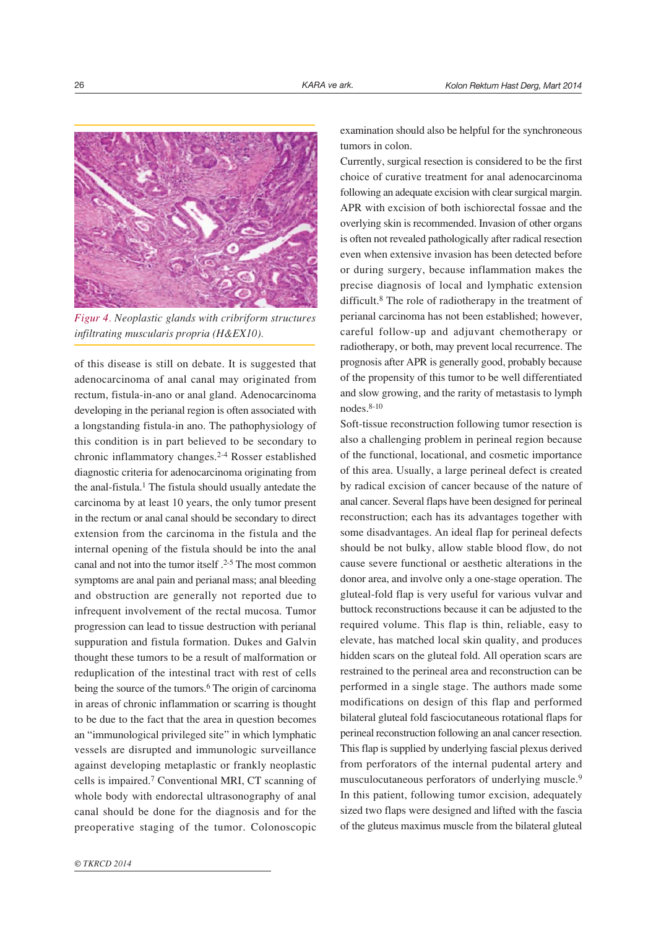

Figur 4. Neoplastic glands with cribriform structures infiltrating muscularis propria (H&EX10).

of this disease is still on debate. It is suggested that adenocarcinoma of anal canal may originated from rectum, fistula-in-ano or anal gland. Adenocarcinoma developing in the perianal region is often associated with a longstanding fistula-in ano. The pathophysiology of this condition is in part believed to be secondary to chronic inflammatory changes.2-4 Rosser established diagnostic criteria for adenocarcinoma originating from the anal-fistula.1 The fistula should usually antedate the carcinoma by at least 10 years, the only tumor present in the rectum or anal canal should be secondary to direct extension from the carcinoma in the fistula and the internal opening of the fistula should be into the anal canal and not into the tumor itself .2-5 The most common symptoms are anal pain and perianal mass; anal bleeding and obstruction are generally not reported due to infrequent involvement of the rectal mucosa. Tumor progression can lead to tissue destruction with perianal suppuration and fistula formation. Dukes and Galvin thought these tumors to be a result of malformation or reduplication of the intestinal tract with rest of cells being the source of the tumors.<sup>6</sup> The origin of carcinoma in areas of chronic inflammation or scarring is thought to be due to the fact that the area in question becomes an "immunological privileged site" in which lymphatic vessels are disrupted and immunologic surveillance against developing metaplastic or frankly neoplastic cells is impaired.7 Conventional MRI, CT scanning of whole body with endorectal ultrasonography of anal canal should be done for the diagnosis and for the preoperative staging of the tumor. Colonoscopic

examination should also be helpful for the synchroneous tumors in colon.

Currently, surgical resection is considered to be the first choice of curative treatment for anal adenocarcinoma following an adequate excision with clear surgical margin. APR with excision of both ischiorectal fossae and the overlying skin is recommended. Invasion of other organs is often not revealed pathologically after radical resection even when extensive invasion has been detected before or during surgery, because inflammation makes the precise diagnosis of local and lymphatic extension difficult.8 The role of radiotherapy in the treatment of perianal carcinoma has not been established; however, careful follow-up and adjuvant chemotherapy or radiotherapy, or both, may prevent local recurrence. The prognosis after APR is generally good, probably because of the propensity of this tumor to be well differentiated and slow growing, and the rarity of metastasis to lymph nodes.8-10

Soft-tissue reconstruction following tumor resection is also a challenging problem in perineal region because of the functional, locational, and cosmetic importance of this area. Usually, a large perineal defect is created by radical excision of cancer because of the nature of anal cancer. Several flaps have been designed for perineal reconstruction; each has its advantages together with some disadvantages. An ideal flap for perineal defects should be not bulky, allow stable blood flow, do not cause severe functional or aesthetic alterations in the donor area, and involve only a one-stage operation. The gluteal-fold flap is very useful for various vulvar and buttock reconstructions because it can be adjusted to the required volume. This flap is thin, reliable, easy to elevate, has matched local skin quality, and produces hidden scars on the gluteal fold. All operation scars are restrained to the perineal area and reconstruction can be performed in a single stage. The authors made some modifications on design of this flap and performed bilateral gluteal fold fasciocutaneous rotational flaps for perineal reconstruction following an anal cancer resection. This flap is supplied by underlying fascial plexus derived from perforators of the internal pudental artery and musculocutaneous perforators of underlying muscle.9 In this patient, following tumor excision, adequately sized two flaps were designed and lifted with the fascia of the gluteus maximus muscle from the bilateral gluteal